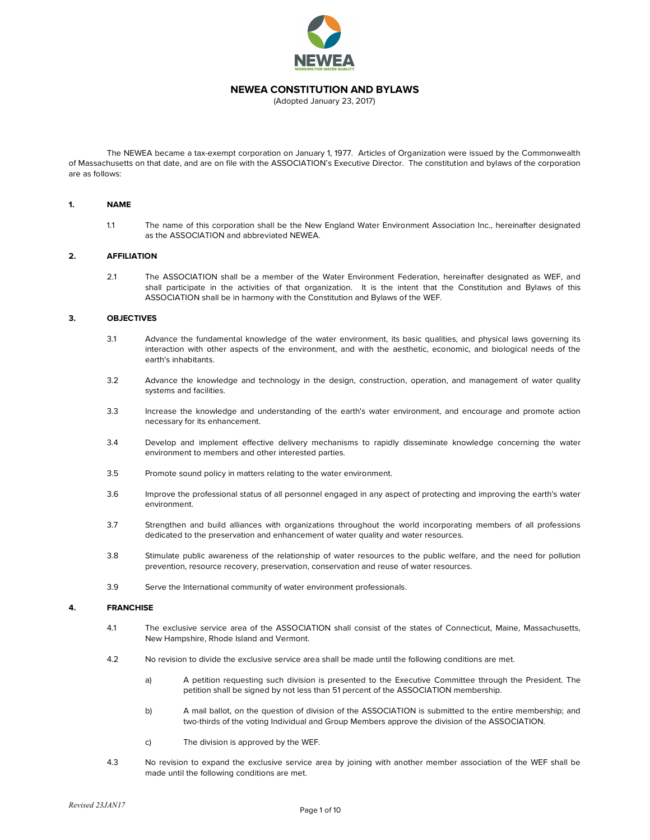

# **NEWEA CONSTITUTION AND BYLAWS**

(Adopted January 23, 2017)

The NEWEA became a tax-exempt corporation on January 1, 1977. Articles of Organization were issued by the Commonwealth of Massachusetts on that date, and are on file with the ASSOCIATION's Executive Director. The constitution and bylaws of the corporation are as follows:

#### **1. NAME**

1.1 The name of this corporation shall be the New England Water Environment Association Inc., hereinafter designated as the ASSOCIATION and abbreviated NEWEA.

# **2. AFFILIATION**

2.1 The ASSOCIATION shall be a member of the Water Environment Federation, hereinafter designated as WEF, and shall participate in the activities of that organization. It is the intent that the Constitution and Bylaws of this ASSOCIATION shall be in harmony with the Constitution and Bylaws of the WEF.

#### **3. OBJECTIVES**

- 3.1 Advance the fundamental knowledge of the water environment, its basic qualities, and physical laws governing its interaction with other aspects of the environment, and with the aesthetic, economic, and biological needs of the earth's inhabitants.
- 3.2 Advance the knowledge and technology in the design, construction, operation, and management of water quality systems and facilities.
- 3.3 Increase the knowledge and understanding of the earth's water environment, and encourage and promote action necessary for its enhancement.
- 3.4 Develop and implement effective delivery mechanisms to rapidly disseminate knowledge concerning the water environment to members and other interested parties.
- 3.5 Promote sound policy in matters relating to the water environment.
- 3.6 Improve the professional status of all personnel engaged in any aspect of protecting and improving the earth's water environment.
- 3.7 Strengthen and build alliances with organizations throughout the world incorporating members of all professions dedicated to the preservation and enhancement of water quality and water resources.
- 3.8 Stimulate public awareness of the relationship of water resources to the public welfare, and the need for pollution prevention, resource recovery, preservation, conservation and reuse of water resources.
- 3.9 Serve the International community of water environment professionals.

### **4. FRANCHISE**

- 4.1 The exclusive service area of the ASSOCIATION shall consist of the states of Connecticut, Maine, Massachusetts, New Hampshire, Rhode Island and Vermont.
- 4.2 No revision to divide the exclusive service area shall be made until the following conditions are met.
	- a) A petition requesting such division is presented to the Executive Committee through the President. The petition shall be signed by not less than 51 percent of the ASSOCIATION membership.
	- b) A mail ballot, on the question of division of the ASSOCIATION is submitted to the entire membership; and two-thirds of the voting Individual and Group Members approve the division of the ASSOCIATION.
	- c) The division is approved by the WEF.
- 4.3 No revision to expand the exclusive service area by joining with another member association of the WEF shall be made until the following conditions are met.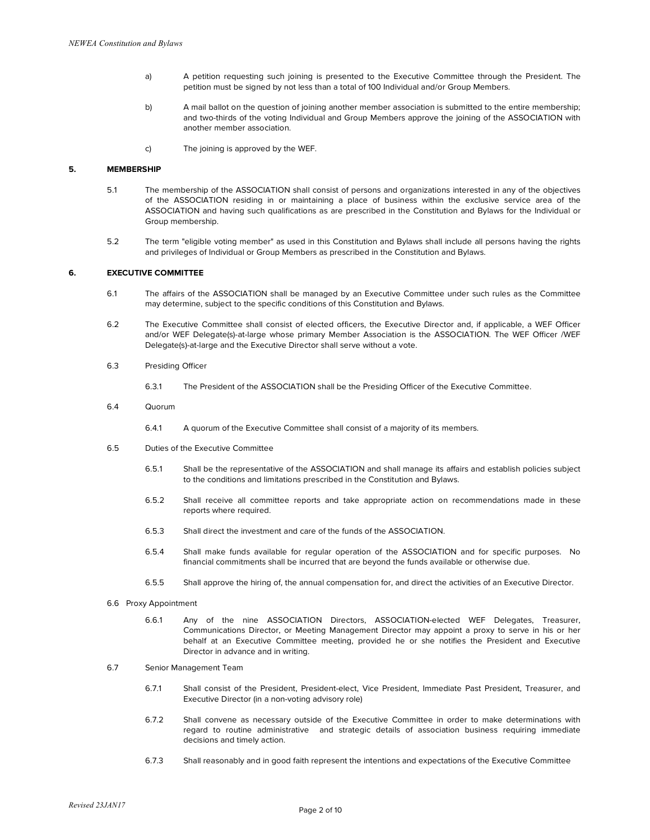- a) A petition requesting such joining is presented to the Executive Committee through the President. The petition must be signed by not less than a total of 100 Individual and/or Group Members.
- b) A mail ballot on the question of joining another member association is submitted to the entire membership; and two-thirds of the voting Individual and Group Members approve the joining of the ASSOCIATION with another member association.
- c) The joining is approved by the WEF.

# **5. MEMBERSHIP**

- 5.1 The membership of the ASSOCIATION shall consist of persons and organizations interested in any of the objectives of the ASSOCIATION residing in or maintaining a place of business within the exclusive service area of the ASSOCIATION and having such qualifications as are prescribed in the Constitution and Bylaws for the Individual or Group membership.
- 5.2 The term "eligible voting member" as used in this Constitution and Bylaws shall include all persons having the rights and privileges of Individual or Group Members as prescribed in the Constitution and Bylaws.

# **6. EXECUTIVE COMMITTEE**

- 6.1 The affairs of the ASSOCIATION shall be managed by an Executive Committee under such rules as the Committee may determine, subject to the specific conditions of this Constitution and Bylaws.
- 6.2 The Executive Committee shall consist of elected officers, the Executive Director and, if applicable, a WEF Officer and/or WEF Delegate(s)-at-large whose primary Member Association is the ASSOCIATION. The WEF Officer /WEF Delegate(s)-at-large and the Executive Director shall serve without a vote.
- 6.3 Presiding Officer
	- 6.3.1 The President of the ASSOCIATION shall be the Presiding Officer of the Executive Committee.
- 6.4 Quorum
	- 6.4.1 A quorum of the Executive Committee shall consist of a majority of its members.
- 6.5 Duties of the Executive Committee
	- 6.5.1 Shall be the representative of the ASSOCIATION and shall manage its affairs and establish policies subject to the conditions and limitations prescribed in the Constitution and Bylaws.
	- 6.5.2 Shall receive all committee reports and take appropriate action on recommendations made in these reports where required.
	- 6.5.3 Shall direct the investment and care of the funds of the ASSOCIATION.
	- 6.5.4 Shall make funds available for regular operation of the ASSOCIATION and for specific purposes. No financial commitments shall be incurred that are beyond the funds available or otherwise due.
	- 6.5.5 Shall approve the hiring of, the annual compensation for, and direct the activities of an Executive Director.
- 6.6 Proxy Appointment
	- 6.6.1 Any of the nine ASSOCIATION Directors, ASSOCIATION-elected WEF Delegates, Treasurer, Communications Director, or Meeting Management Director may appoint a proxy to serve in his or her behalf at an Executive Committee meeting, provided he or she notifies the President and Executive Director in advance and in writing.
- 6.7 Senior Management Team
	- 6.7.1 Shall consist of the President, President-elect, Vice President, Immediate Past President, Treasurer, and Executive Director (in a non-voting advisory role)
	- 6.7.2 Shall convene as necessary outside of the Executive Committee in order to make determinations with regard to routine administrative and strategic details of association business requiring immediate decisions and timely action.
	- 6.7.3 Shall reasonably and in good faith represent the intentions and expectations of the Executive Committee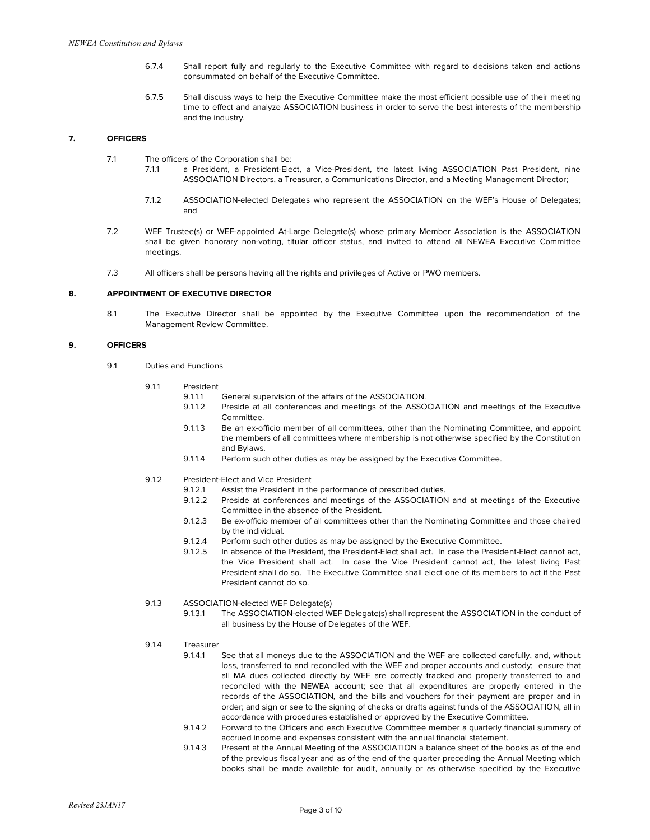- 6.7.4 Shall report fully and regularly to the Executive Committee with regard to decisions taken and actions consummated on behalf of the Executive Committee.
- 6.7.5 Shall discuss ways to help the Executive Committee make the most efficient possible use of their meeting time to effect and analyze ASSOCIATION business in order to serve the best interests of the membership and the industry.

# **7. OFFICERS**

- 7.1 The officers of the Corporation shall be:
	- 7.1.1 a President, a President-Elect, a Vice-President, the latest living ASSOCIATION Past President, nine ASSOCIATION Directors, a Treasurer, a Communications Director, and a Meeting Management Director;
	- 7.1.2 ASSOCIATION-elected Delegates who represent the ASSOCIATION on the WEF's House of Delegates; and
- 7.2 WEF Trustee(s) or WEF-appointed At-Large Delegate(s) whose primary Member Association is the ASSOCIATION shall be given honorary non-voting, titular officer status, and invited to attend all NEWEA Executive Committee meetings.
- 7.3 All officers shall be persons having all the rights and privileges of Active or PWO members.

## **8. APPOINTMENT OF EXECUTIVE DIRECTOR**

8.1 The Executive Director shall be appointed by the Executive Committee upon the recommendation of the Management Review Committee.

# **9. OFFICERS**

- 9.1 Duties and Functions
	- 9.1.1 President
		- 9.1.1.1 General supervision of the affairs of the ASSOCIATION.
		- 9.1.1.2 Preside at all conferences and meetings of the ASSOCIATION and meetings of the Executive Committee.
		- 9.1.1.3 Be an ex-officio member of all committees, other than the Nominating Committee, and appoint the members of all committees where membership is not otherwise specified by the Constitution and Bylaws.
		- 9.1.1.4 Perform such other duties as may be assigned by the Executive Committee.
	- 9.1.2 President-Elect and Vice President
		- 9.1.2.1 Assist the President in the performance of prescribed duties.
		- 9.1.2.2 Preside at conferences and meetings of the ASSOCIATION and at meetings of the Executive Committee in the absence of the President.
		- 9.1.2.3 Be ex-officio member of all committees other than the Nominating Committee and those chaired by the individual.
		- 9.1.2.4 Perform such other duties as may be assigned by the Executive Committee.
		- 9.1.2.5 In absence of the President, the President-Elect shall act. In case the President-Elect cannot act, the Vice President shall act. In case the Vice President cannot act, the latest living Past President shall do so. The Executive Committee shall elect one of its members to act if the Past President cannot do so.
	- 9.1.3 ASSOCIATION-elected WEF Delegate(s)
		- 9.1.3.1 The ASSOCIATION-elected WEF Delegate(s) shall represent the ASSOCIATION in the conduct of all business by the House of Delegates of the WEF.
	- 9.1.4 Treasurer
		- 9.1.4.1 See that all moneys due to the ASSOCIATION and the WEF are collected carefully, and, without loss, transferred to and reconciled with the WEF and proper accounts and custody; ensure that all MA dues collected directly by WEF are correctly tracked and properly transferred to and reconciled with the NEWEA account; see that all expenditures are properly entered in the records of the ASSOCIATION, and the bills and vouchers for their payment are proper and in order; and sign or see to the signing of checks or drafts against funds of the ASSOCIATION, all in accordance with procedures established or approved by the Executive Committee.
		- 9.1.4.2 Forward to the Officers and each Executive Committee member a quarterly financial summary of accrued income and expenses consistent with the annual financial statement.
		- 9.1.4.3 Present at the Annual Meeting of the ASSOCIATION a balance sheet of the books as of the end of the previous fiscal year and as of the end of the quarter preceding the Annual Meeting which books shall be made available for audit, annually or as otherwise specified by the Executive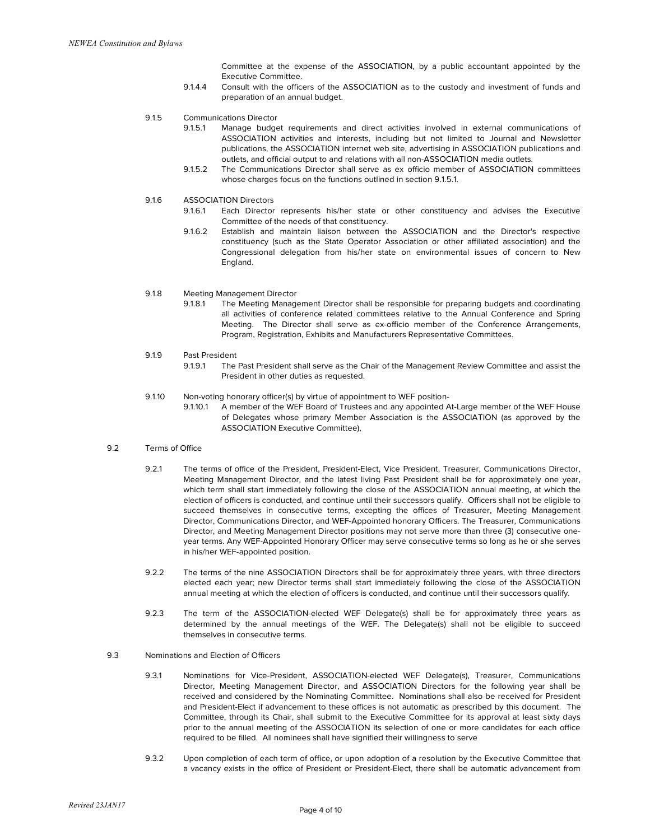Committee at the expense of the ASSOCIATION, by a public accountant appointed by the Executive Committee.

- 9.1.4.4 Consult with the officers of the ASSOCIATION as to the custody and investment of funds and preparation of an annual budget.
- 9.1.5 Communications Director
	- 9.1.5.1 Manage budget requirements and direct activities involved in external communications of ASSOCIATION activities and interests, including but not limited to Journal and Newsletter publications, the ASSOCIATION internet web site, advertising in ASSOCIATION publications and outlets, and official output to and relations with all non-ASSOCIATION media outlets.
	- 9.1.5.2 The Communications Director shall serve as ex officio member of ASSOCIATION committees whose charges focus on the functions outlined in section 9.1.5.1.
- 9.16 ASSOCIATION Directors
	- 9.1.6.1 Each Director represents his/her state or other constituency and advises the Executive Committee of the needs of that constituency.
	- 9.1.6.2 Establish and maintain liaison between the ASSOCIATION and the Director's respective constituency (such as the State Operator Association or other affiliated association) and the Congressional delegation from his/her state on environmental issues of concern to New England.
- 9.1.8 Meeting Management Director
	- 9.1.8.1 The Meeting Management Director shall be responsible for preparing budgets and coordinating all activities of conference related committees relative to the Annual Conference and Spring Meeting. The Director shall serve as ex-officio member of the Conference Arrangements, Program, Registration, Exhibits and Manufacturers Representative Committees.
- 9.1.9 Past President
	- 9.1.9.1 The Past President shall serve as the Chair of the Management Review Committee and assist the President in other duties as requested.
- 9.1.10 Non-voting honorary officer(s) by virtue of appointment to WEF position-
	- 9.1.10.1 A member of the WEF Board of Trustees and any appointed At-Large member of the WEF House of Delegates whose primary Member Association is the ASSOCIATION (as approved by the ASSOCIATION Executive Committee),
- 9.2 Terms of Office
	- 9.2.1 The terms of office of the President, President-Elect, Vice President, Treasurer, Communications Director, Meeting Management Director, and the latest living Past President shall be for approximately one year, which term shall start immediately following the close of the ASSOCIATION annual meeting, at which the election of officers is conducted, and continue until their successors qualify. Officers shall not be eligible to succeed themselves in consecutive terms, excepting the offices of Treasurer, Meeting Management Director, Communications Director, and WEF-Appointed honorary Officers. The Treasurer, Communications Director, and Meeting Management Director positions may not serve more than three (3) consecutive oneyear terms. Any WEF-Appointed Honorary Officer may serve consecutive terms so long as he or she serves in his/her WEF-appointed position.
	- 9.2.2 The terms of the nine ASSOCIATION Directors shall be for approximately three years, with three directors elected each year; new Director terms shall start immediately following the close of the ASSOCIATION annual meeting at which the election of officers is conducted, and continue until their successors qualify.
	- 9.2.3 The term of the ASSOCIATION-elected WEF Delegate(s) shall be for approximately three years as determined by the annual meetings of the WEF. The Delegate(s) shall not be eligible to succeed themselves in consecutive terms.
- 9.3 Nominations and Election of Officers
	- 9.3.1 Nominations for Vice-President, ASSOCIATION-elected WEF Delegate(s), Treasurer, Communications Director, Meeting Management Director, and ASSOCIATION Directors for the following year shall be received and considered by the Nominating Committee. Nominations shall also be received for President and President-Elect if advancement to these offices is not automatic as prescribed by this document. The Committee, through its Chair, shall submit to the Executive Committee for its approval at least sixty days prior to the annual meeting of the ASSOCIATION its selection of one or more candidates for each office required to be filled. All nominees shall have signified their willingness to serve
	- 9.3.2 Upon completion of each term of office, or upon adoption of a resolution by the Executive Committee that a vacancy exists in the office of President or President-Elect, there shall be automatic advancement from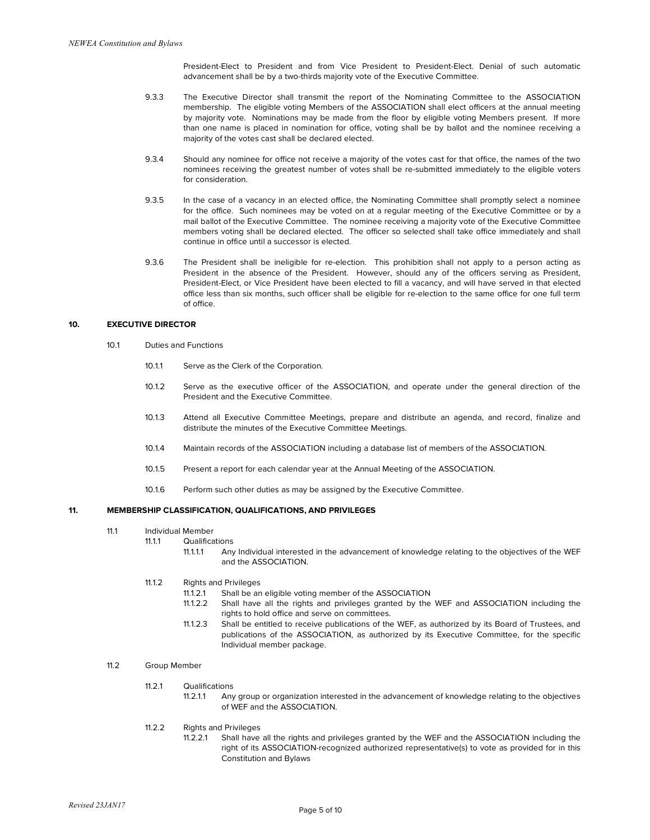President-Elect to President and from Vice President to President-Elect. Denial of such automatic advancement shall be by a two-thirds majority vote of the Executive Committee.

- 9.3.3 The Executive Director shall transmit the report of the Nominating Committee to the ASSOCIATION membership. The eligible voting Members of the ASSOCIATION shall elect officers at the annual meeting by majority vote. Nominations may be made from the floor by eligible voting Members present. If more than one name is placed in nomination for office, voting shall be by ballot and the nominee receiving a majority of the votes cast shall be declared elected.
- 9.3.4 Should any nominee for office not receive a majority of the votes cast for that office, the names of the two nominees receiving the greatest number of votes shall be re-submitted immediately to the eligible voters for consideration.
- 9.3.5 In the case of a vacancy in an elected office, the Nominating Committee shall promptly select a nominee for the office. Such nominees may be voted on at a regular meeting of the Executive Committee or by a mail ballot of the Executive Committee. The nominee receiving a majority vote of the Executive Committee members voting shall be declared elected. The officer so selected shall take office immediately and shall continue in office until a successor is elected.
- 9.3.6 The President shall be ineligible for re-election. This prohibition shall not apply to a person acting as President in the absence of the President. However, should any of the officers serving as President, President-Elect, or Vice President have been elected to fill a vacancy, and will have served in that elected office less than six months, such officer shall be eligible for re-election to the same office for one full term of office.

## **10. EXECUTIVE DIRECTOR**

- 10.1 Duties and Functions
	- 10.1.1 Serve as the Clerk of the Corporation.
	- 10.1.2 Serve as the executive officer of the ASSOCIATION, and operate under the general direction of the President and the Executive Committee.
	- 10.1.3 Attend all Executive Committee Meetings, prepare and distribute an agenda, and record, finalize and distribute the minutes of the Executive Committee Meetings.
	- 10.1.4 Maintain records of the ASSOCIATION including a database list of members of the ASSOCIATION.
	- 10.1.5 Present a report for each calendar year at the Annual Meeting of the ASSOCIATION.
	- 10.1.6 Perform such other duties as may be assigned by the Executive Committee.

### **11. MEMBERSHIP CLASSIFICATION, QUALIFICATIONS, AND PRIVILEGES**

- 11.1 Individual Member
	- 11.1.1 Qualifications
		- 11.1.1.1 Any Individual interested in the advancement of knowledge relating to the objectives of the WEF and the ASSOCIATION.
	- 11.1.2 Rights and Privileges
		- 11.1.2.1 Shall be an eligible voting member of the ASSOCIATION
		- 11.1.2.2 Shall have all the rights and privileges granted by the WEF and ASSOCIATION including the rights to hold office and serve on committees.
		- 11.1.2.3 Shall be entitled to receive publications of the WEF, as authorized by its Board of Trustees, and publications of the ASSOCIATION, as authorized by its Executive Committee, for the specific Individual member package.
- 11.2 Group Member
	- 11.2.1 Qualifications
		- 11.2.1.1 Any group or organization interested in the advancement of knowledge relating to the objectives of WEF and the ASSOCIATION.
	- 11.2.2 Rights and Privileges
		- 11.2.2.1 Shall have all the rights and privileges granted by the WEF and the ASSOCIATION including the right of its ASSOCIATION-recognized authorized representative(s) to vote as provided for in this Constitution and Bylaws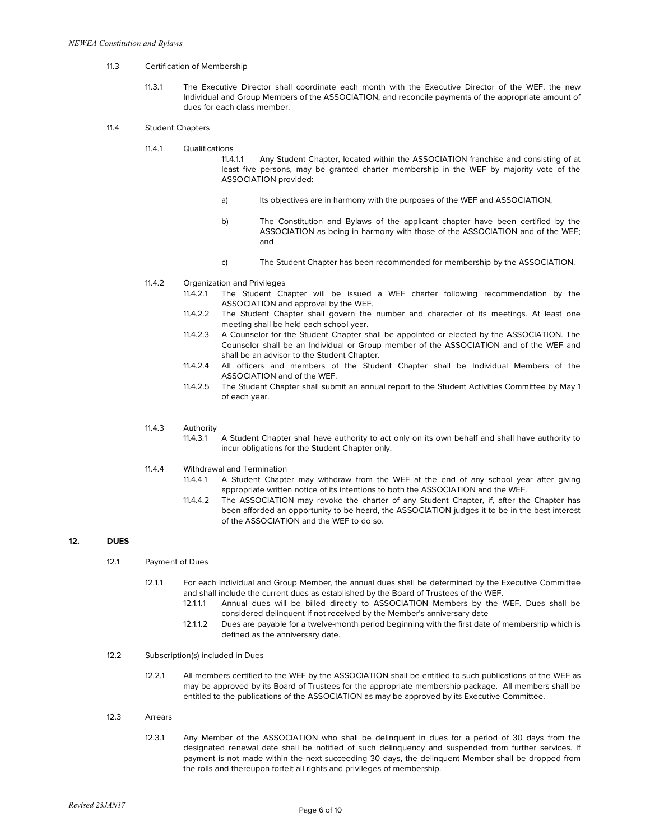- 11.3 Certification of Membership
	- 11.3.1 The Executive Director shall coordinate each month with the Executive Director of the WEF, the new Individual and Group Members of the ASSOCIATION, and reconcile payments of the appropriate amount of dues for each class member.

### 11.4 Student Chapters

11.4.1 Qualifications

11.4.1.1 Any Student Chapter, located within the ASSOCIATION franchise and consisting of at least five persons, may be granted charter membership in the WEF by majority vote of the ASSOCIATION provided:

- a) Its objectives are in harmony with the purposes of the WEF and ASSOCIATION;
- b) The Constitution and Bylaws of the applicant chapter have been certified by the ASSOCIATION as being in harmony with those of the ASSOCIATION and of the WEF; and
- c) The Student Chapter has been recommended for membership by the ASSOCIATION.
- 11.4.2 Organization and Privileges
	- 11.4.2.1 The Student Chapter will be issued a WEF charter following recommendation by the ASSOCIATION and approval by the WEF.
	- 11.4.2.2 The Student Chapter shall govern the number and character of its meetings. At least one meeting shall be held each school year.
	- 11.4.2.3 A Counselor for the Student Chapter shall be appointed or elected by the ASSOCIATION. The Counselor shall be an Individual or Group member of the ASSOCIATION and of the WEF and shall be an advisor to the Student Chapter.
	- 11.4.2.4 All officers and members of the Student Chapter shall be Individual Members of the ASSOCIATION and of the WEF.
	- 11.4.2.5 The Student Chapter shall submit an annual report to the Student Activities Committee by May 1 of each year.
- 11.4.3 Authority<br>11.4.3.1
	- A Student Chapter shall have authority to act only on its own behalf and shall have authority to incur obligations for the Student Chapter only.
- 11.4.4 Withdrawal and Termination
	- 11.4.4.1 A Student Chapter may withdraw from the WEF at the end of any school year after giving appropriate written notice of its intentions to both the ASSOCIATION and the WEF.
	- 11.4.4.2 The ASSOCIATION may revoke the charter of any Student Chapter, if, after the Chapter has been afforded an opportunity to be heard, the ASSOCIATION judges it to be in the best interest of the ASSOCIATION and the WEF to do so.

# **12. DUES**

- 12.1.1 For each Individual and Group Member, the annual dues shall be determined by the Executive Committee and shall include the current dues as established by the Board of Trustees of the WEF.
	- 12.1.1.1 Annual dues will be billed directly to ASSOCIATION Members by the WEF. Dues shall be considered delinquent if not received by the Member's anniversary date
	- 12.1.1.2 Dues are payable for a twelve-month period beginning with the first date of membership which is defined as the anniversary date.

### 12.2 Subscription(s) included in Dues

- 12.2.1 All members certified to the WEF by the ASSOCIATION shall be entitled to such publications of the WEF as may be approved by its Board of Trustees for the appropriate membership package. All members shall be entitled to the publications of the ASSOCIATION as may be approved by its Executive Committee.
- 12.3 Arrears
	- 12.3.1 Any Member of the ASSOCIATION who shall be delinquent in dues for a period of 30 days from the designated renewal date shall be notified of such delinquency and suspended from further services. If payment is not made within the next succeeding 30 days, the delinquent Member shall be dropped from the rolls and thereupon forfeit all rights and privileges of membership.

<sup>12.1</sup> Payment of Dues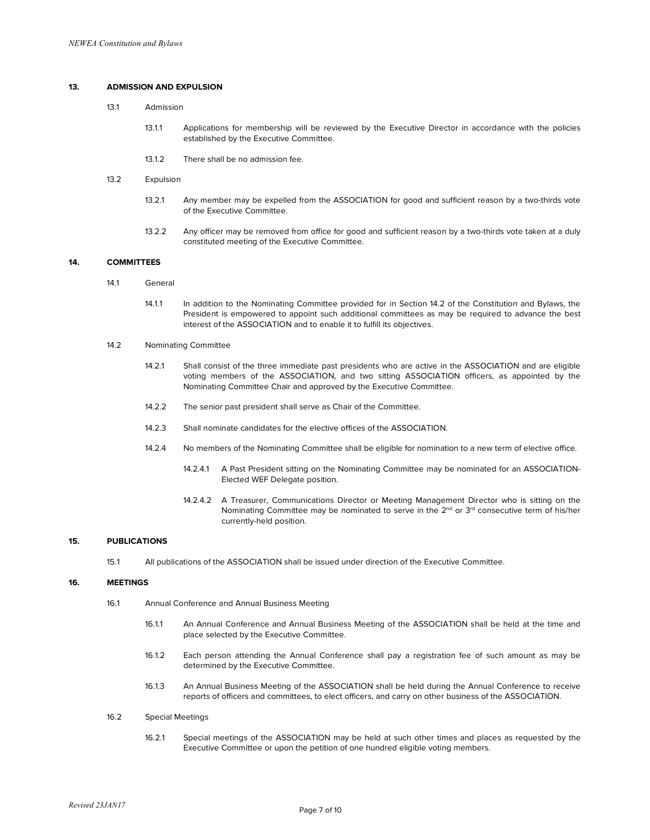# **13. ADMISSION AND EXPULSION**

- 13.1 Admission
	- 13.1.1 Applications for membership will be reviewed by the Executive Director in accordance with the policies established by the Executive Committee.
	- 13.1.2 There shall be no admission fee.

#### 13.2 Expulsion

- 13.2.1 Any member may be expelled from the ASSOCIATION for good and sufficient reason by a two-thirds vote of the Executive Committee.
- 13.2.2 Any officer may be removed from office for good and sufficient reason by a two-thirds vote taken at a duly constituted meeting of the Executive Committee.

# **14. COMMITTEES**

- 14.1 General
	- 14.1.1 In addition to the Nominating Committee provided for in Section 14.2 of the Constitution and Bylaws, the President is empowered to appoint such additional committees as may be required to advance the best interest of the ASSOCIATION and to enable it to fulfill its objectives.

# 14.2 Nominating Committee

- 14.2.1 Shall consist of the three immediate past presidents who are active in the ASSOCIATION and are eligible voting members of the ASSOCIATION, and two sitting ASSOCIATION officers, as appointed by the Nominating Committee Chair and approved by the Executive Committee.
- 14.2.2 The senior past president shall serve as Chair of the Committee.
- 14.2.3 Shall nominate candidates for the elective offices of the ASSOCIATION.
- 14.2.4 No members of the Nominating Committee shall be eligible for nomination to a new term of elective office.
	- 14.2.4.1 A Past President sitting on the Nominating Committee may be nominated for an ASSOCIATION-Elected WEF Delegate position.
	- 14.2.4.2 A Treasurer, Communications Director or Meeting Management Director who is sitting on the Nominating Committee may be nominated to serve in the  $2<sup>nd</sup>$  or  $3<sup>rd</sup>$  consecutive term of his/her currently-held position.

# **15. PUBLICATIONS**

15.1 All publications of the ASSOCIATION shall be issued under direction of the Executive Committee.

## **16. MEETINGS**

- 16.1 Annual Conference and Annual Business Meeting
	- 16.1.1 An Annual Conference and Annual Business Meeting of the ASSOCIATION shall be held at the time and place selected by the Executive Committee.
	- 16.1.2 Each person attending the Annual Conference shall pay a registration fee of such amount as may be determined by the Executive Committee.
	- 16.1.3 An Annual Business Meeting of the ASSOCIATION shall be held during the Annual Conference to receive reports of officers and committees, to elect officers, and carry on other business of the ASSOCIATION.
- 16.2 Special Meetings
	- 16.2.1 Special meetings of the ASSOCIATION may be held at such other times and places as requested by the Executive Committee or upon the petition of one hundred eligible voting members.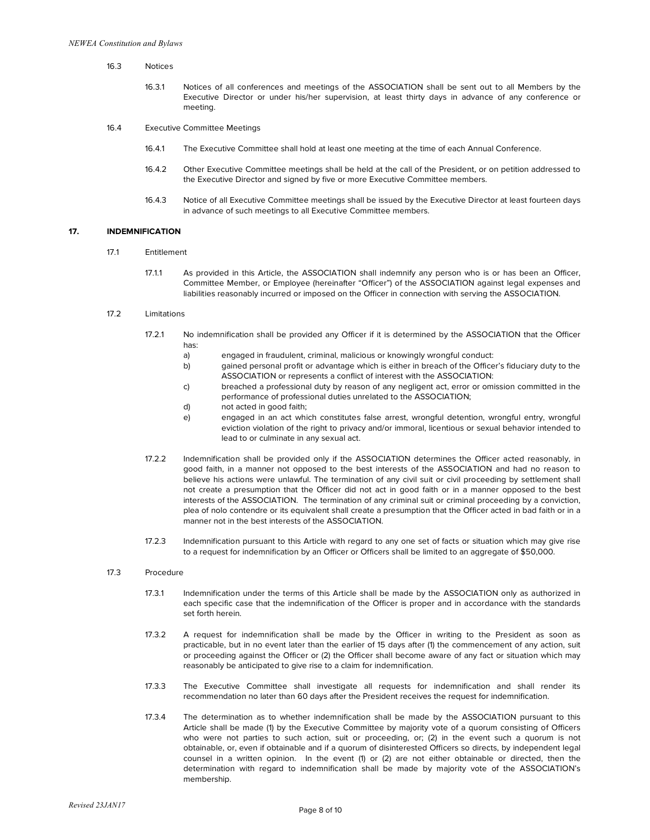- 16.3 Notices
	- 16.3.1 Notices of all conferences and meetings of the ASSOCIATION shall be sent out to all Members by the Executive Director or under his/her supervision, at least thirty days in advance of any conference or meeting.
- 16.4 Executive Committee Meetings
	- 16.4.1 The Executive Committee shall hold at least one meeting at the time of each Annual Conference.
	- 16.4.2 Other Executive Committee meetings shall be held at the call of the President, or on petition addressed to the Executive Director and signed by five or more Executive Committee members.
	- 16.4.3 Notice of all Executive Committee meetings shall be issued by the Executive Director at least fourteen days in advance of such meetings to all Executive Committee members.

## **17. INDEMNIFICATION**

- 17.1 Entitlement
	- 17.1.1 As provided in this Article, the ASSOCIATION shall indemnify any person who is or has been an Officer, Committee Member, or Employee (hereinafter "Officer") of the ASSOCIATION against legal expenses and liabilities reasonably incurred or imposed on the Officer in connection with serving the ASSOCIATION.

#### 17.2 Limitations

- 17.2.1 No indemnification shall be provided any Officer if it is determined by the ASSOCIATION that the Officer has:
	- a) engaged in fraudulent, criminal, malicious or knowingly wrongful conduct:
	- b) gained personal profit or advantage which is either in breach of the Officer's fiduciary duty to the ASSOCIATION or represents a conflict of interest with the ASSOCIATION:
	- c) breached a professional duty by reason of any negligent act, error or omission committed in the performance of professional duties unrelated to the ASSOCIATION;
	- d) not acted in good faith;
	- e) engaged in an act which constitutes false arrest, wrongful detention, wrongful entry, wrongful eviction violation of the right to privacy and/or immoral, licentious or sexual behavior intended to lead to or culminate in any sexual act.
- 17.2.2 Indemnification shall be provided only if the ASSOCIATION determines the Officer acted reasonably, in good faith, in a manner not opposed to the best interests of the ASSOCIATION and had no reason to believe his actions were unlawful. The termination of any civil suit or civil proceeding by settlement shall not create a presumption that the Officer did not act in good faith or in a manner opposed to the best interests of the ASSOCIATION. The termination of any criminal suit or criminal proceeding by a conviction, plea of nolo contendre or its equivalent shall create a presumption that the Officer acted in bad faith or in a manner not in the best interests of the ASSOCIATION.
- 17.2.3 Indemnification pursuant to this Article with regard to any one set of facts or situation which may give rise to a request for indemnification by an Officer or Officers shall be limited to an aggregate of \$50,000.

#### 17.3 Procedure

- 17.3.1 Indemnification under the terms of this Article shall be made by the ASSOCIATION only as authorized in each specific case that the indemnification of the Officer is proper and in accordance with the standards set forth herein.
- 17.3.2 A request for indemnification shall be made by the Officer in writing to the President as soon as practicable, but in no event later than the earlier of 15 days after (1) the commencement of any action, suit or proceeding against the Officer or (2) the Officer shall become aware of any fact or situation which may reasonably be anticipated to give rise to a claim for indemnification.
- 17.3.3 The Executive Committee shall investigate all requests for indemnification and shall render its recommendation no later than 60 days after the President receives the request for indemnification.
- 17.3.4 The determination as to whether indemnification shall be made by the ASSOCIATION pursuant to this Article shall be made (1) by the Executive Committee by majority vote of a quorum consisting of Officers who were not parties to such action, suit or proceeding, or; (2) in the event such a quorum is not obtainable, or, even if obtainable and if a quorum of disinterested Officers so directs, by independent legal counsel in a written opinion. In the event (1) or (2) are not either obtainable or directed, then the determination with regard to indemnification shall be made by majority vote of the ASSOCIATION's membership.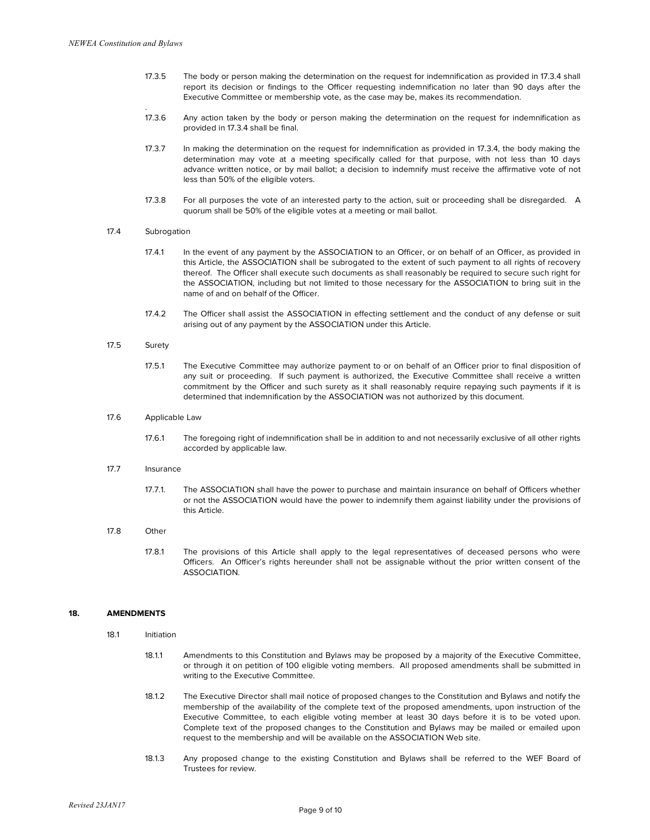- 17.3.5 The body or person making the determination on the request for indemnification as provided in 17.3.4 shall report its decision or findings to the Officer requesting indemnification no later than 90 days after the Executive Committee or membership vote, as the case may be, makes its recommendation.
- 17.3.6 Any action taken by the body or person making the determination on the request for indemnification as provided in 17.3.4 shall be final.
- 17.3.7 In making the determination on the request for indemnification as provided in 17.3.4, the body making the determination may vote at a meeting specifically called for that purpose, with not less than 10 days advance written notice, or by mail ballot; a decision to indemnify must receive the affirmative vote of not less than 50% of the eligible voters.
- 17.3.8 For all purposes the vote of an interested party to the action, suit or proceeding shall be disregarded. A quorum shall be 50% of the eligible votes at a meeting or mail ballot.

### 17.4 Subrogation

.

- 17.4.1 In the event of any payment by the ASSOCIATION to an Officer, or on behalf of an Officer, as provided in this Article, the ASSOCIATION shall be subrogated to the extent of such payment to all rights of recovery thereof. The Officer shall execute such documents as shall reasonably be required to secure such right for the ASSOCIATION, including but not limited to those necessary for the ASSOCIATION to bring suit in the name of and on behalf of the Officer.
- 17.4.2 The Officer shall assist the ASSOCIATION in effecting settlement and the conduct of any defense or suit arising out of any payment by the ASSOCIATION under this Article.

### 17.5 Surety

17.5.1 The Executive Committee may authorize payment to or on behalf of an Officer prior to final disposition of any suit or proceeding. If such payment is authorized, the Executive Committee shall receive a written commitment by the Officer and such surety as it shall reasonably require repaying such payments if it is determined that indemnification by the ASSOCIATION was not authorized by this document.

#### 17.6 Applicable Law

- 17.6.1 The foregoing right of indemnification shall be in addition to and not necessarily exclusive of all other rights accorded by applicable law.
- 17.7 Insurance
	- 17.7.1. The ASSOCIATION shall have the power to purchase and maintain insurance on behalf of Officers whether or not the ASSOCIATION would have the power to indemnify them against liability under the provisions of this Article.

#### 17.8 Other

17.8.1 The provisions of this Article shall apply to the legal representatives of deceased persons who were Officers. An Officer's rights hereunder shall not be assignable without the prior written consent of the ASSOCIATION.

### **18. AMENDMENTS**

- 18.1 Initiation
	- 18.1.1 Amendments to this Constitution and Bylaws may be proposed by a majority of the Executive Committee, or through it on petition of 100 eligible voting members. All proposed amendments shall be submitted in writing to the Executive Committee.
	- 18.1.2 The Executive Director shall mail notice of proposed changes to the Constitution and Bylaws and notify the membership of the availability of the complete text of the proposed amendments, upon instruction of the Executive Committee, to each eligible voting member at least 30 days before it is to be voted upon. Complete text of the proposed changes to the Constitution and Bylaws may be mailed or emailed upon request to the membership and will be available on the ASSOCIATION Web site.
	- 18.1.3 Any proposed change to the existing Constitution and Bylaws shall be referred to the WEF Board of Trustees for review.